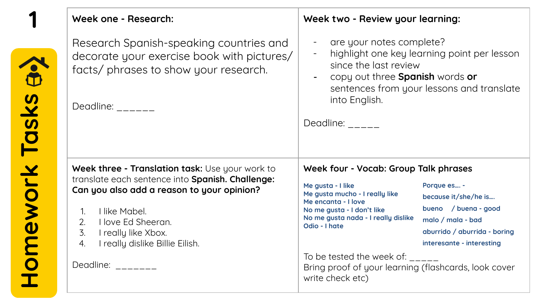| Week one - Research:                                                                                                                                      | Week two - Review your learning:                                                                                                                                                                         |
|-----------------------------------------------------------------------------------------------------------------------------------------------------------|----------------------------------------------------------------------------------------------------------------------------------------------------------------------------------------------------------|
| Research Spanish-speaking countries and<br>decorate your exercise book with pictures/<br>facts/ phrases to show your research.<br>Deadline: $\frac{1}{2}$ | are your notes complete?<br>highlight one key learning point per lesson<br>since the last review<br>copy out three <b>Spanish</b> words or<br>sentences from your lessons and translate<br>into English. |
|                                                                                                                                                           | Deadline: $\frac{1}{2}$                                                                                                                                                                                  |
|                                                                                                                                                           |                                                                                                                                                                                                          |
| Week three - Translation task: Use your work to<br>translate each sentence into Spanish. Challenge:                                                       | Week four - Vocab: Group Talk phrases                                                                                                                                                                    |
| Can you also add a reason to your opinion?                                                                                                                | Me gusta - I like<br>Porque es -<br>Me gusta mucho - I really like<br>because it/she/he is                                                                                                               |
| I like Mabel.<br>1.<br>I love Ed Sheeran.<br>2.                                                                                                           | Me encanta - I love<br>bueno / buena - good<br>No me gusta - I don't like<br>No me gusta nada - I really dislike<br>malo / mala - bad<br>Odio - I hate                                                   |
| $\overline{3}$ .<br>I really like Xbox.<br>I really dislike Billie Eilish.<br>4.                                                                          | aburrido / aburrida - boring<br>interesante - interesting                                                                                                                                                |
| Deadline: $\frac{1}{2}$                                                                                                                                   | To be tested the week of: $\frac{1}{2}$<br>Bring proof of your learning (flashcards, look cover<br>write check etc)                                                                                      |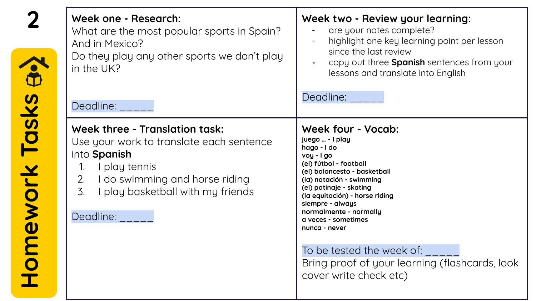|                       | Week one - Research:<br>What are the most popular sports in Spain?<br>And in Mexico?<br>Do they play any other sports we don't play<br>in the UK?                                                                                                        | Week two - Review your learning:<br>are your notes complete?<br>highlight one key learning point per lesson<br>since the last review<br>copy out three Spanish sentences from your<br>lessons and translate into English                                                                                                                                                                                                    |
|-----------------------|----------------------------------------------------------------------------------------------------------------------------------------------------------------------------------------------------------------------------------------------------------|-----------------------------------------------------------------------------------------------------------------------------------------------------------------------------------------------------------------------------------------------------------------------------------------------------------------------------------------------------------------------------------------------------------------------------|
|                       | Deadline:                                                                                                                                                                                                                                                | Deadline: <b>Deadline</b> :                                                                                                                                                                                                                                                                                                                                                                                                 |
| <b>Tomework Tasks</b> | Week three - Translation task:<br>Use your work to translate each sentence<br>into Spanish<br>I play tennis<br>$1_{\cdot}$<br>I do swimming and horse riding<br>2.<br>$\overline{3}$ .<br>I play basketball with my friends<br>Deadline: <b>Deadline</b> | <b>Week four - Vocab:</b><br>juego  - I play<br>hago - I do<br>voy - I go<br>(el) fútbol - football<br>(el) baloncesto - basketball<br>(la) natación - swimming<br>(el) patinaje - skating<br>(la equitación) - horse riding<br>siempre - always<br>normalmente - normally<br>a veces - sometimes<br>nunca - never<br>To be tested the week of:<br>Bring proof of your learning (flashcards, look<br>cover write check etc) |